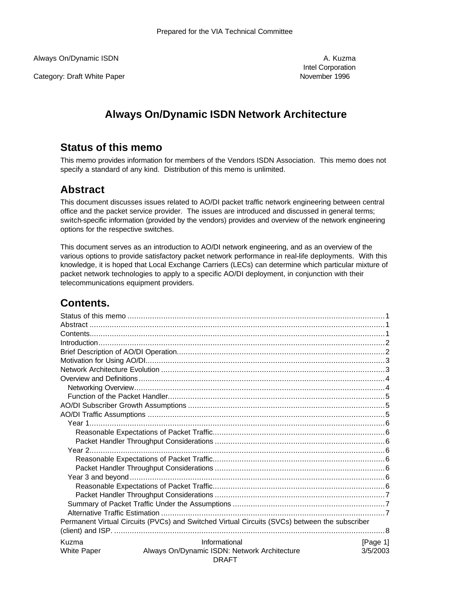Always On/Dynamic ISDN and the state of the state of the state of the state of the state of the state of the state of the state of the state of the state of the state of the state of the state of the state of the state of

Category: Draft White Paper November 1996

Intel Corporation

# **Always On/Dynamic ISDN Network Architecture**

# **Status of this memo**

This memo provides information for members of the Vendors ISDN Association. This memo does not specify a standard of any kind. Distribution of this memo is unlimited.

# **Abstract**

This document discusses issues related to AO/DI packet traffic network engineering between central office and the packet service provider. The issues are introduced and discussed in general terms; switch-specific information (provided by the vendors) provides and overview of the network engineering options for the respective switches.

This document serves as an introduction to AO/DI network engineering, and as an overview of the various options to provide satisfactory packet network performance in real-life deployments. With this knowledge, it is hoped that Local Exchange Carriers (LECs) can determine which particular mixture of packet network technologies to apply to a specific AO/DI deployment, in conjunction with their telecommunications equipment providers.

# **Contents.**

|                                                                                | Permanent Virtual Circuits (PVCs) and Switched Virtual Circuits (SVCs) between the subscriber |          |  |  |  |  |
|--------------------------------------------------------------------------------|-----------------------------------------------------------------------------------------------|----------|--|--|--|--|
|                                                                                |                                                                                               |          |  |  |  |  |
| Kuzma                                                                          | Informational                                                                                 | [Page 1] |  |  |  |  |
| Always On/Dynamic ISDN: Network Architecture<br>3/5/2003<br><b>White Paper</b> |                                                                                               |          |  |  |  |  |
|                                                                                | <b>DRAFT</b>                                                                                  |          |  |  |  |  |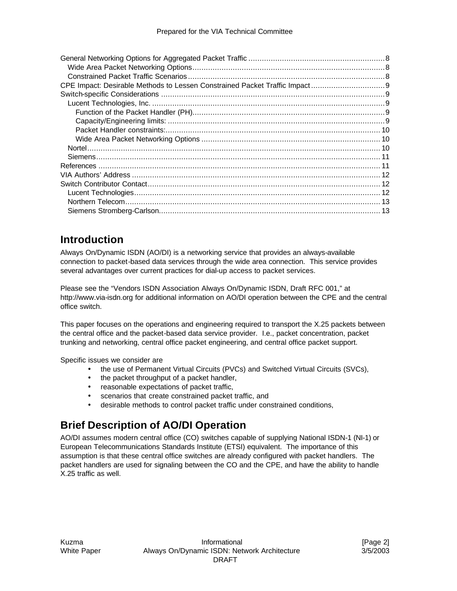# **Introduction**

Always On/Dynamic ISDN (AO/DI) is a networking service that provides an always-available connection to packet-based data services through the wide area connection. This service provides several advantages over current practices for dial-up access to packet services.

Please see the "Vendors ISDN Association Always On/Dynamic ISDN, Draft RFC 001," at http://www.via-isdn.org for additional information on AO/DI operation between the CPE and the central office switch.

This paper focuses on the operations and engineering required to transport the X.25 packets between the central office and the packet-based data service provider. I.e., packet concentration, packet trunking and networking, central office packet engineering, and central office packet support.

Specific issues we consider are

- the use of Permanent Virtual Circuits (PVCs) and Switched Virtual Circuits (SVCs),
- the packet throughput of a packet handler,
- reasonable expectations of packet traffic,
- scenarios that create constrained packet traffic, and
- desirable methods to control packet traffic under constrained conditions,

# **Brief Description of AO/DI Operation**

AO/DI assumes modern central office (CO) switches capable of supplying National ISDN-1 (NI-1) or European Telecommunications Standards Institute (ETSI) equivalent. The importance of this assumption is that these central office switches are already configured with packet handlers. The packet handlers are used for signaling between the CO and the CPE, and have the ability to handle X.25 traffic as well.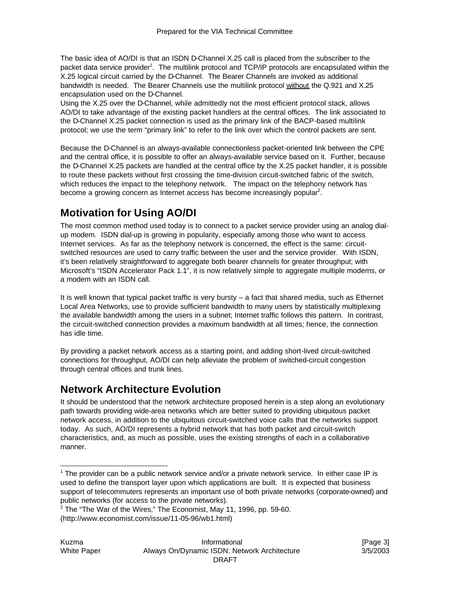The basic idea of AO/DI is that an ISDN D-Channel X.25 call is placed from the subscriber to the packet data service provider<sup>1</sup>. The multilink protocol and TCP/IP protocols are encapsulated within the X.25 logical circuit carried by the D-Channel. The Bearer Channels are invoked as additional bandwidth is needed. The Bearer Channels use the multilink protocol without the Q.921 and X.25 encapsulation used on the D-Channel.

Using the X.25 over the D-Channel, while admittedly not the most efficient protocol stack, allows AO/DI to take advantage of the existing packet handlers at the central offices. The link associated to the D-Channel X.25 packet connection is used as the primary link of the BACP-based multilink protocol; we use the term "primary link" to refer to the link over which the control packets are sent.

Because the D-Channel is an always-available connectionless packet-oriented link between the CPE and the central office, it is possible to offer an always-available service based on it. Further, because the D-Channel X.25 packets are handled at the central office by the X.25 packet handler, it is possible to route these packets without first crossing the time-division circuit-switched fabric of the switch, which reduces the impact to the telephony network. The impact on the telephony network has become a growing concern as Internet access has become increasingly popular<sup>2</sup>.

# **Motivation for Using AO/DI**

The most common method used today is to connect to a packet service provider using an analog dialup modem. ISDN dial-up is growing in popularity, especially among those who want to access Internet services. As far as the telephony network is concerned, the effect is the same: circuitswitched resources are used to carry traffic between the user and the service provider. With ISDN, it's been relatively straightforward to aggregate both bearer channels for greater throughput; with Microsoft's "ISDN Accelerator Pack 1.1", it is now relatively simple to aggregate multiple modems, or a modem with an ISDN call.

It is well known that typical packet traffic is very bursty  $-$  a fact that shared media, such as Ethernet Local Area Networks, use to provide sufficient bandwidth to many users by statistically multiplexing the available bandwidth among the users in a subnet; Internet traffic follows this pattern. In contrast, the circuit-switched connection provides a maximum bandwidth at all times; hence, the connection has idle time.

By providing a packet network access as a starting point, and adding short-lived circuit-switched connections for throughput, AO/DI can help alleviate the problem of switched-circuit congestion through central offices and trunk lines.

# **Network Architecture Evolution**

It should be understood that the network architecture proposed herein is a step along an evolutionary path towards providing wide-area networks which are better suited to providing ubiquitous packet network access, in addition to the ubiquitous circuit-switched voice calls that the networks support today. As such, AO/DI represents a hybrid network that has both packet and circuit-switch characteristics, and, as much as possible, uses the existing strengths of each in a collaborative manner.

 $1$  The provider can be a public network service and/or a private network service. In either case IP is used to define the transport layer upon which applications are built. It is expected that business support of telecommuters represents an important use of both private networks (corporate-owned) and public networks (for access to the private networks).

 $2$  The "The War of the Wires," The Economist, May 11, 1996, pp. 59-60.

<sup>(</sup>http://www.economist.com/issue/11-05-96/wb1.html)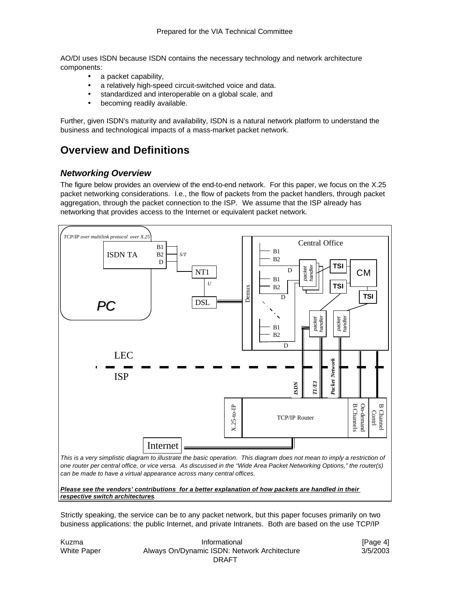AO/DI uses ISDN because ISDN contains the necessary technology and network architecture components:

- a packet capability,
- a relatively high-speed circuit-switched voice and data.
- standardized and interoperable on a global scale, and
- becoming readily available.

Further, given ISDN's maturity and availability, ISDN is a natural network platform to understand the business and technological impacts of a mass-market packet network.

# **Overview and Definitions**

#### *Networking Overview*

The figure below provides an overview of the end-to-end network. For this paper, we focus on the X.25 packet networking considerations. I.e., the flow of packets from the packet handlers, through packet aggregation, through the packet connection to the ISP. We assume that the ISP already has networking that provides access to the Internet or equivalent packet network.



*Please see the vendors' contributions for a better explanation of how packets are handled in their respective switch architectures.*

Strictly speaking, the service can be to any packet network, but this paper focuses primarily on two business applications: the public Internet, and private Intranets. Both are based on the use TCP/IP

| Kuzma       | [Page 4]                                     |          |  |
|-------------|----------------------------------------------|----------|--|
| White Paper | Always On/Dynamic ISDN: Network Architecture | 3/5/2003 |  |
|             | DRAFT                                        |          |  |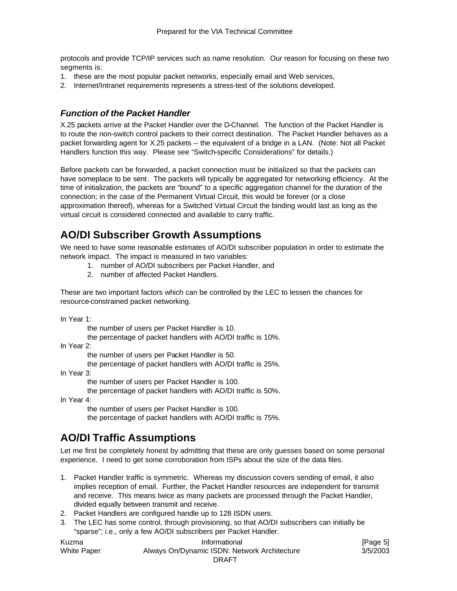protocols and provide TCP/IP services such as name resolution. Our reason for focusing on these two segments is:

- 1. these are the most popular packet networks, especially email and Web services,
- 2. Internet/Intranet requirements represents a stress-test of the solutions developed.

#### *Function of the Packet Handler*

X.25 packets arrive at the Packet Handler over the D-Channel. The function of the Packet Handler is to route the non-switch control packets to their correct destination. The Packet Handler behaves as a packet forwarding agent for X.25 packets -- the equivalent of a bridge in a LAN. (Note: Not all Packet Handlers function this way. Please see "Switch-specific Considerations" for details.)

Before packets can be forwarded, a packet connection must be initialized so that the packets can have someplace to be sent. The packets will typically be aggregated for networking efficiency. At the time of initialization, the packets are "bound" to a specific aggregation channel for the duration of the connection; in the case of the Permanent Virtual Circuit, this would be forever (or a close approximation thereof), whereas for a Switched Virtual Circuit the binding would last as long as the virtual circuit is considered connected and available to carry traffic.

# **AO/DI Subscriber Growth Assumptions**

We need to have some reasonable estimates of AO/DI subscriber population in order to estimate the network impact. The impact is measured in two variables:

- 1. number of AO/DI subscribers per Packet Handler, and
- 2. number of affected Packet Handlers.

These are two important factors which can be controlled by the LEC to lessen the chances for resource-constrained packet networking.

In Year 1:

the number of users per Packet Handler is 10.

the percentage of packet handlers with AO/DI traffic is 10%.

In Year 2:

the number of users per Packet Handler is 50.

the percentage of packet handlers with AO/DI traffic is 25%.

In Year 3:

the number of users per Packet Handler is 100.

the percentage of packet handlers with AO/DI traffic is 50%.

In Year 4:

the number of users per Packet Handler is 100.

the percentage of packet handlers with AO/DI traffic is 75%.

# **AO/DI Traffic Assumptions**

Let me first be completely honest by admitting that these are only guesses based on some personal experience. I need to get some corroboration from ISPs about the size of the data files.

- 1. Packet Handler traffic is symmetric. Whereas my discussion covers sending of email, it also implies reception of email. Further, the Packet Handler resources are independent for transmit and receive. This means twice as many packets are processed through the Packet Handler, divided equally between transmit and receive.
- 2. Packet Handlers are configured handle up to 128 ISDN users.
- 3. The LEC has some control, through provisioning, so that AO/DI subscribers can initially be "sparse"; i.e., only a few AO/DI subscribers per Packet Handler.

Kuzma **Informational** Informational **Informational Informational IPage 5** White Paper **Always On/Dynamic ISDN: Network Architecture** 3/5/2003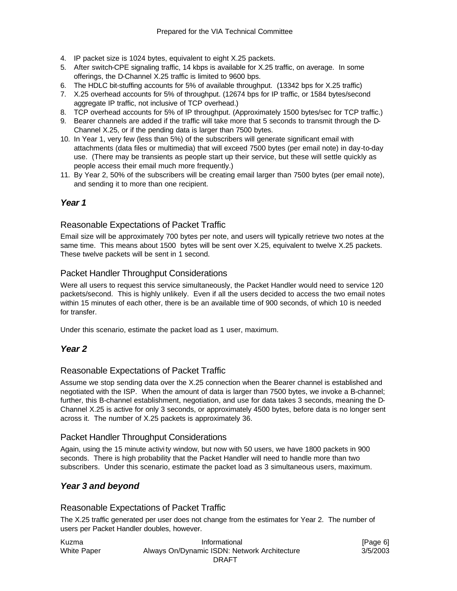- 4. IP packet size is 1024 bytes, equivalent to eight X.25 packets.
- 5. After switch-CPE signaling traffic, 14 kbps is available for X.25 traffic, on average. In some offerings, the D-Channel X.25 traffic is limited to 9600 bps.
- 6. The HDLC bit-stuffing accounts for 5% of available throughput. (13342 bps for X.25 traffic)
- 7. X.25 overhead accounts for 5% of throughput. (12674 bps for IP traffic, or 1584 bytes/second aggregate IP traffic, not inclusive of TCP overhead.)
- 8. TCP overhead accounts for 5% of IP throughput. (Approximately 1500 bytes/sec for TCP traffic.)
- 9. Bearer channels are added if the traffic will take more that 5 seconds to transmit through the D-Channel X.25, or if the pending data is larger than 7500 bytes.
- 10. In Year 1, very few (less than 5%) of the subscribers will generate significant email with attachments (data files or multimedia) that will exceed 7500 bytes (per email note) in day-to-day use. (There may be transients as people start up their service, but these will settle quickly as people access their email much more frequently.)
- 11. By Year 2, 50% of the subscribers will be creating email larger than 7500 bytes (per email note), and sending it to more than one recipient.

## *Year 1*

### Reasonable Expectations of Packet Traffic

Email size will be approximately 700 bytes per note, and users will typically retrieve two notes at the same time. This means about 1500 bytes will be sent over X.25, equivalent to twelve X.25 packets. These twelve packets will be sent in 1 second.

### Packet Handler Throughput Considerations

Were all users to request this service simultaneously, the Packet Handler would need to service 120 packets/second. This is highly unlikely. Even if all the users decided to access the two email notes within 15 minutes of each other, there is be an available time of 900 seconds, of which 10 is needed for transfer.

Under this scenario, estimate the packet load as 1 user, maximum.

### *Year 2*

### Reasonable Expectations of Packet Traffic

Assume we stop sending data over the X.25 connection when the Bearer channel is established and negotiated with the ISP. When the amount of data is larger than 7500 bytes, we invoke a B-channel; further, this B-channel establishment, negotiation, and use for data takes 3 seconds, meaning the D-Channel X.25 is active for only 3 seconds, or approximately 4500 bytes, before data is no longer sent across it. The number of X.25 packets is approximately 36.

### Packet Handler Throughput Considerations

Again, using the 15 minute activi ty window, but now with 50 users, we have 1800 packets in 900 seconds. There is high probability that the Packet Handler will need to handle more than two subscribers. Under this scenario, estimate the packet load as 3 simultaneous users, maximum.

### *Year 3 and beyond*

### Reasonable Expectations of Packet Traffic

The X.25 traffic generated per user does not change from the estimates for Year 2. The number of users per Packet Handler doubles, however.

| Kuzma       | Informational                                | [Page 6] |
|-------------|----------------------------------------------|----------|
| White Paper | Always On/Dynamic ISDN: Network Architecture | 3/5/2003 |
|             | DRAFT                                        |          |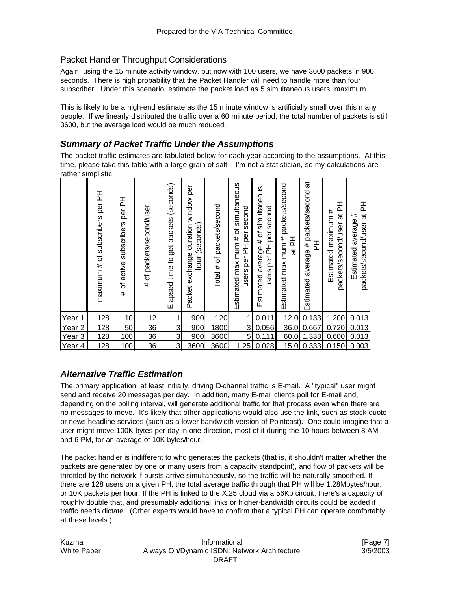### Packet Handler Throughput Considerations

Again, using the 15 minute activity window, but now with 100 users, we have 3600 packets in 900 seconds. There is high probability that the Packet Handler will need to handle more than four subscriber. Under this scenario, estimate the packet load as 5 simultaneous users, maximum

This is likely to be a high-end estimate as the 15 minute window is artificially small over this many people. If we linearly distributed the traffic over a 60 minute period, the total number of packets is still 3600, but the average load would be much reduced.

### *Summary of Packet Traffic Under the Assumptions*

The packet traffic estimates are tabulated below for each year according to the assumptions. At this time, please take this table with a large grain of salt – I'm not a statistician, so my calculations are rather simplistic.

|                   | per PH<br>subscribers<br>maximum # of | 폾<br>per<br>subscribers<br>active<br>৳<br># | packets/second/user<br>৳<br># | (seconds)<br>packets<br>get<br>Elapsed time to | per<br>window<br>Packet exchange duration<br>hour (seconds) | packets/second<br>Total $#$ of | Estimated maximum # of simultaneous<br>second<br>per<br>준<br>per<br>users | simultaneous<br>second<br>average # of<br>per<br>users per PH<br>Estimated | packets/second<br>Estimated maximum #<br>준<br>ಹ | $\vec{a}$<br>packets/second<br>곱<br>average #<br>Estimated | 준<br>#<br>ಸ<br>Estimated maximum<br>packets/second/user | 곱<br>Estimated average #<br>ಹ<br>packets/second/user |
|-------------------|---------------------------------------|---------------------------------------------|-------------------------------|------------------------------------------------|-------------------------------------------------------------|--------------------------------|---------------------------------------------------------------------------|----------------------------------------------------------------------------|-------------------------------------------------|------------------------------------------------------------|---------------------------------------------------------|------------------------------------------------------|
| Year<br>1         | 128                                   | 10                                          | 12                            | 1                                              | 900                                                         | 120                            | 1                                                                         | 0.011                                                                      | 12.0                                            | 0.133                                                      | 1.200                                                   | 0.013                                                |
| Year <sub>2</sub> | 128                                   | 50                                          | 36                            | 3                                              | 900                                                         | 1800                           | 3                                                                         | 0.056                                                                      | 36.0                                            | 0.667                                                      | 0.720                                                   | 0.013                                                |
| Year <sub>3</sub> | 128                                   | 100                                         | 36                            | 3                                              | 900                                                         | 3600                           | 5                                                                         | 0.111                                                                      | 60.0                                            | 1.333                                                      | 0.600                                                   | 0.013                                                |
| Year 4            | 128                                   | 100                                         | 36                            | 3                                              | 3600                                                        | 3600                           | 1.25                                                                      | 0.028                                                                      | 15.0                                            | 0.333                                                      | 0.150                                                   | 0.003                                                |

## *Alternative Traffic Estimation*

The primary application, at least initially, driving D-channel traffic is E-mail. A "typical" user might send and receive 20 messages per day. In addition, many E-mail clients poll for E-mail and, depending on the polling interval, will generate additional traffic for that process even when there are no messages to move. It's likely that other applications would also use the link, such as stock-quote or news headline services (such as a lower-bandwidth version of Pointcast). One could imagine that a user might move 100K bytes per day in one direction, most of it during the 10 hours between 8 AM and 6 PM, for an average of 10K bytes/hour.

The packet handler is indifferent to who generates the packets (that is, it shouldn't matter whether the packets are generated by one or many users from a capacity standpoint), and flow of packets will be throttled by the network if bursts arrive simultaneously, so the traffic will be naturally smoothed. If there are 128 users on a given PH, the total average traffic through that PH will be 1.28Mbytes/hour, or 10K packets per hour. If the PH is linked to the X.25 cloud via a 56Kb circuit, there's a capacity of roughly double that, and presumably additional links or higher-bandwidth circuits could be added if traffic needs dictate. (Other experts would have to confirm that a typical PH can operate comfortably at these levels.)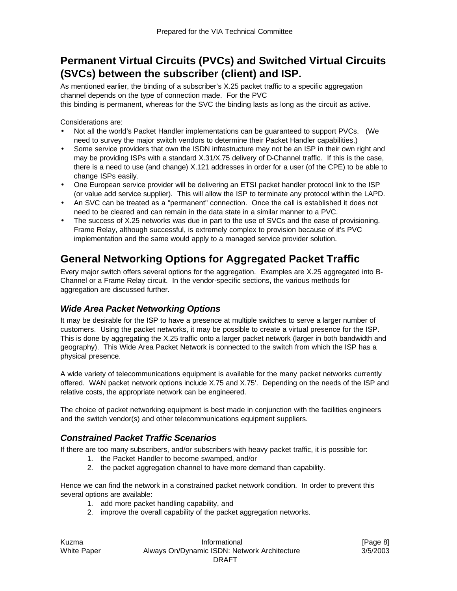# **Permanent Virtual Circuits (PVCs) and Switched Virtual Circuits (SVCs) between the subscriber (client) and ISP.**

As mentioned earlier, the binding of a subscriber's X.25 packet traffic to a specific aggregation channel depends on the type of connection made. For the PVC this binding is permanent, whereas for the SVC the binding lasts as long as the circuit as active.

Considerations are:

- Not all the world's Packet Handler implementations can be guaranteed to support PVCs. (We need to survey the major switch vendors to determine their Packet Handler capabilities.)
- Some service providers that own the ISDN infrastructure may not be an ISP in their own right and may be providing ISPs with a standard X.31/X.75 delivery of D-Channel traffic. If this is the case, there is a need to use (and change) X.121 addresses in order for a user (of the CPE) to be able to change ISPs easily.
- One European service provider will be delivering an ETSI packet handler protocol link to the ISP (or value add service supplier). This will allow the ISP to terminate any protocol within the LAPD.
- An SVC can be treated as a "permanent" connection. Once the call is established it does not need to be cleared and can remain in the data state in a similar manner to a PVC.
- The success of X.25 networks was due in part to the use of SVCs and the ease of provisioning. Frame Relay, although successful, is extremely complex to provision because of it's PVC implementation and the same would apply to a managed service provider solution.

# **General Networking Options for Aggregated Packet Traffic**

Every major switch offers several options for the aggregation. Examples are X.25 aggregated into B-Channel or a Frame Relay circuit. In the vendor-specific sections, the various methods for aggregation are discussed further.

### *Wide Area Packet Networking Options*

It may be desirable for the ISP to have a presence at multiple switches to serve a larger number of customers. Using the packet networks, it may be possible to create a virtual presence for the ISP. This is done by aggregating the X.25 traffic onto a larger packet network (larger in both bandwidth and geography). This Wide Area Packet Network is connected to the switch from which the ISP has a physical presence.

A wide variety of telecommunications equipment is available for the many packet networks currently offered. WAN packet network options include X.75 and X.75'. Depending on the needs of the ISP and relative costs, the appropriate network can be engineered.

The choice of packet networking equipment is best made in conjunction with the facilities engineers and the switch vendor(s) and other telecommunications equipment suppliers.

## *Constrained Packet Traffic Scenarios*

If there are too many subscribers, and/or subscribers with heavy packet traffic, it is possible for:

- 1. the Packet Handler to become swamped, and/or
- 2. the packet aggregation channel to have more demand than capability.

Hence we can find the network in a constrained packet network condition. In order to prevent this several options are available:

- 1. add more packet handling capability, and
- 2. improve the overall capability of the packet aggregation networks.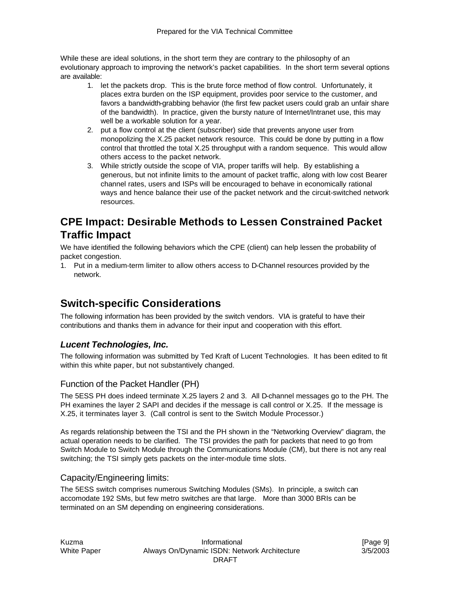While these are ideal solutions, in the short term they are contrary to the philosophy of an evolutionary approach to improving the network's packet capabilities. In the short term several options are available:

- 1. let the packets drop. This is the brute force method of flow control. Unfortunately, it places extra burden on the ISP equipment, provides poor service to the customer, and favors a bandwidth-grabbing behavior (the first few packet users could grab an unfair share of the bandwidth). In practice, given the bursty nature of Internet/Intranet use, this may well be a workable solution for a year.
- 2. put a flow control at the client (subscriber) side that prevents anyone user from monopolizing the X.25 packet network resource. This could be done by putting in a flow control that throttled the total X.25 throughput with a random sequence. This would allow others access to the packet network.
- 3. While strictly outside the scope of VIA, proper tariffs will help. By establishing a generous, but not infinite limits to the amount of packet traffic, along with low cost Bearer channel rates, users and ISPs will be encouraged to behave in economically rational ways and hence balance their use of the packet network and the circuit-switched network resources.

# **CPE Impact: Desirable Methods to Lessen Constrained Packet Traffic Impact**

We have identified the following behaviors which the CPE (client) can help lessen the probability of packet congestion.

1. Put in a medium-term limiter to allow others access to D-Channel resources provided by the network.

# **Switch-specific Considerations**

The following information has been provided by the switch vendors. VIA is grateful to have their contributions and thanks them in advance for their input and cooperation with this effort.

## *Lucent Technologies, Inc.*

The following information was submitted by Ted Kraft of Lucent Technologies. It has been edited to fit within this white paper, but not substantively changed.

### Function of the Packet Handler (PH)

The 5ESS PH does indeed terminate X.25 layers 2 and 3. All D-channel messages go to the PH. The PH examines the layer 2 SAPI and decides if the message is call control or X.25. If the message is X.25, it terminates layer 3. (Call control is sent to the Switch Module Processor.)

As regards relationship between the TSI and the PH shown in the "Networking Overview" diagram, the actual operation needs to be clarified. The TSI provides the path for packets that need to go from Switch Module to Switch Module through the Communications Module (CM), but there is not any real switching; the TSI simply gets packets on the inter-module time slots.

### Capacity/Engineering limits:

The 5ESS switch comprises numerous Switching Modules (SMs). In principle, a switch can accomodate 192 SMs, but few metro switches are that large. More than 3000 BRIs can be terminated on an SM depending on engineering considerations.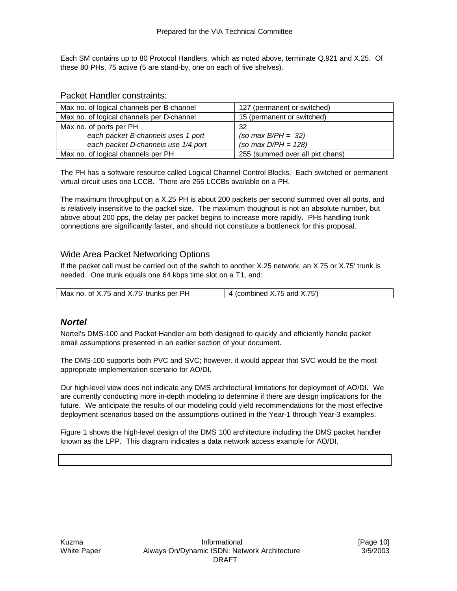Each SM contains up to 80 Protocol Handlers, which as noted above, terminate Q.921 and X.25. Of these 80 PHs, 75 active (5 are stand-by, one on each of five shelves).

#### Packet Handler constraints:

| Max no. of logical channels per B-channel | 127 (permanent or switched)     |
|-------------------------------------------|---------------------------------|
| Max no. of logical channels per D-channel | 15 (permanent or switched)      |
| Max no. of ports per PH                   | 32                              |
| each packet B-channels uses 1 port        | $(so max B/PH = 32)$            |
| each packet D-channels use 1/4 port       | (so max $D/PH = 128$ )          |
| Max no. of logical channels per PH        | 255 (summed over all pkt chans) |

The PH has a software resource called Logical Channel Control Blocks. Each switched or permanent virtual circuit uses one LCCB. There are 255 LCCBs available on a PH.

The maximum throughput on a X.25 PH is about 200 packets per second summed over all ports, and is relatively insensitive to the packet size. The maximum thoughput is not an absolute number, but above about 200 pps, the delay per packet begins to increase more rapidly. PHs handling trunk connections are significantly faster, and should not constitute a bottleneck for this proposal.

### Wide Area Packet Networking Options

If the packet call must be carried out of the switch to another X.25 network, an X.75 or X.75' trunk is needed. One trunk equals one 64 kbps time slot on a T1, and:

| of X.75 and X.75' trunks per PH<br>Max no. | and X.75 $^{\circ}$<br>75.<br>combined<br>. |
|--------------------------------------------|---------------------------------------------|
|                                            |                                             |

### *Nortel*

Nortel's DMS-100 and Packet Handler are both designed to quickly and efficiently handle packet email assumptions presented in an earlier section of your document.

The DMS-100 supports both PVC and SVC; however, it would appear that SVC would be the most appropriate implementation scenario for AO/DI.

Our high-level view does not indicate any DMS architectural limitations for deployment of AO/DI. We are currently conducting more in-depth modeling to determine if there are design implications for the future. We anticipate the results of our modeling could yield recommendations for the most effective deployment scenarios based on the assumptions outlined in the Year-1 through Year-3 examples.

Figure 1 shows the high-level design of the DMS 100 architecture including the DMS packet handler known as the LPP. This diagram indicates a data network access example for AO/DI.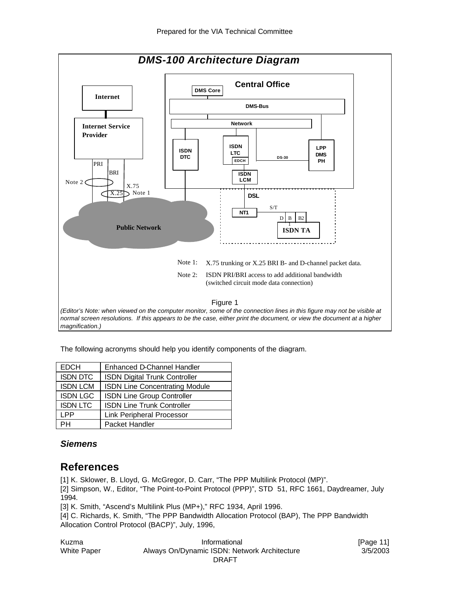

The following acronyms should help you identify components of the diagram.

| <b>EDCH</b>     | Enhanced D-Channel Handler            |
|-----------------|---------------------------------------|
| <b>ISDN DTC</b> | <b>ISDN Digital Trunk Controller</b>  |
| <b>ISDN LCM</b> | <b>ISDN Line Concentrating Module</b> |
| <b>ISDN LGC</b> | ISDN Line Group Controller            |
| <b>ISDN LTC</b> | <b>ISDN Line Trunk Controller</b>     |
| LPP             | <b>Link Peripheral Processor</b>      |
| PН              | Packet Handler                        |

## *Siemens*

# **References**

[1] K. Sklower, B. Lloyd, G. McGregor, D. Carr, "The PPP Multilink Protocol (MP)".

[2] Simpson, W., Editor, "The Point-to-Point Protocol (PPP)", STD 51, RFC 1661, Daydreamer, July 1994.

[3] K. Smith, "Ascend's Multilink Plus (MP+)," RFC 1934, April 1996.

[4] C. Richards, K. Smith, "The PPP Bandwidth Allocation Protocol (BAP), The PPP Bandwidth Allocation Control Protocol (BACP)", July, 1996,

| Kuzma       | Informational                                | [Page 11] |
|-------------|----------------------------------------------|-----------|
| White Paper | Always On/Dynamic ISDN: Network Architecture | 3/5/2003  |
|             | DRAFT                                        |           |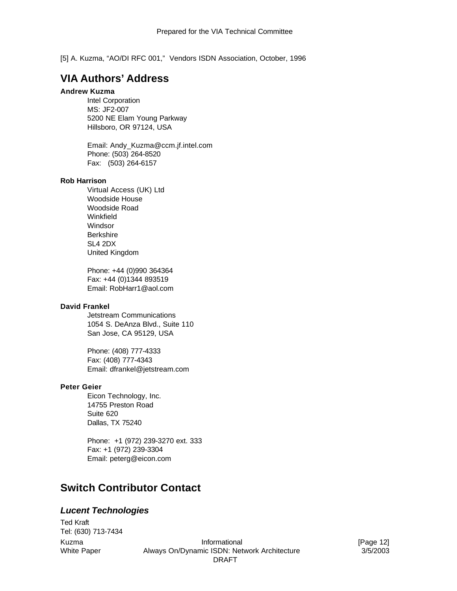[5] A. Kuzma, "AO/DI RFC 001," Vendors ISDN Association, October, 1996

# **VIA Authors' Address**

#### **Andrew Kuzma**

Intel Corporation MS: JF2-007 5200 NE Elam Young Parkway Hillsboro, OR 97124, USA

Email: Andy\_Kuzma@ccm.jf.intel.com Phone: (503) 264-8520 Fax: (503) 264-6157

#### **Rob Harrison**

Virtual Access (UK) Ltd Woodside House Woodside Road Winkfield **Windsor** Berkshire SL4 2DX United Kingdom

Phone: +44 (0)990 364364 Fax: +44 (0)1344 893519 Email: RobHarr1@aol.com

#### **David Frankel**

Jetstream Communications 1054 S. DeAnza Blvd., Suite 110 San Jose, CA 95129, USA

Phone: (408) 777-4333 Fax: (408) 777-4343 Email: dfrankel@jetstream.com

#### **Peter Geier**

Eicon Technology, Inc. 14755 Preston Road Suite 620 Dallas, TX 75240

Phone: +1 (972) 239-3270 ext. 333 Fax: +1 (972) 239-3304 Email: peterg@eicon.com

# **Switch Contributor Contact**

#### *Lucent Technologies*

Ted Kraft Tel: (630) 713-7434

Kuzma **Informational** Informational **Informational Informational Informational Informational** White Paper **Always On/Dynamic ISDN: Network Architecture** 3/5/2003 DRAFT